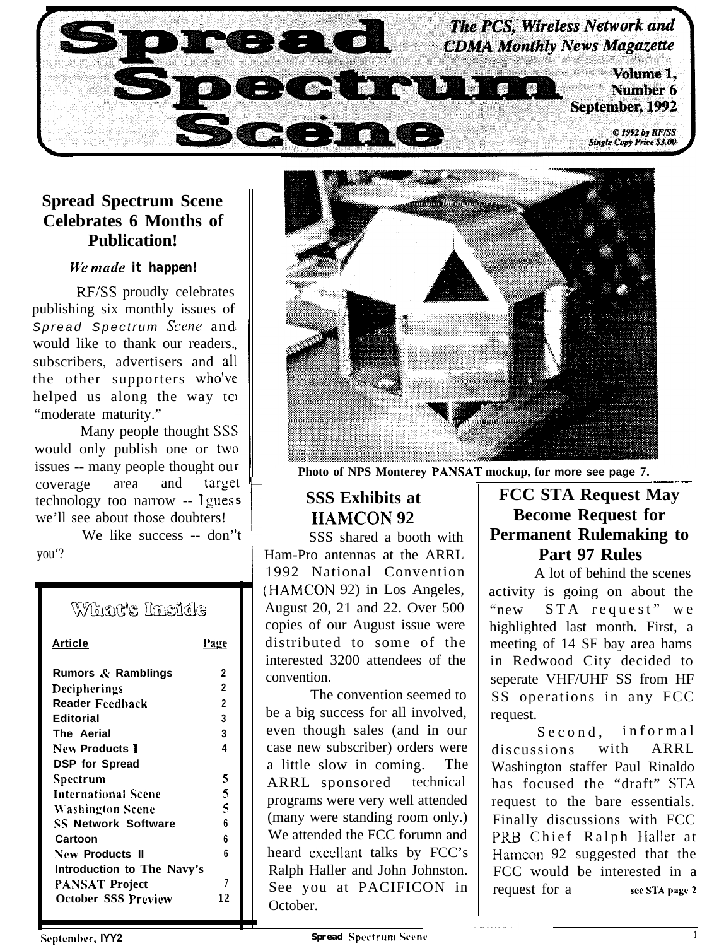

# **Spread Spectrum Scene Celebrates 6 Months of Publication!**

#### *We made* it happen!

*RF/SS* proudly celebrates publishing six monthly issues of Spread Spectrum *Scene* and would like to thank our readers. subscribers, advertisers and all the other supporters who'vc helped us along the way tc "moderate maturity."

Many people thought SS5 would only publish one or two issues -- many people thought ou coverage area and technology too narrow -- I guess we'll see about those doubters! target

We like success -- don' 't you'?

# What's Inside

| Article                    | Page         |
|----------------------------|--------------|
| Rumors & Ramblings         | 2            |
| Decipherings               | $\mathbf{c}$ |
| Reader Feedback            | 2            |
| Editorial                  | 3            |
| The Aerial                 | 3            |
| New Products I             | 4            |
| <b>DSP</b> for Spread      |              |
| Spectrum                   | 5            |
| International Scene        | 5            |
| <b>Washington Scene</b>    | 5            |
| <b>SS Network Software</b> | 6            |
| Cartoon                    | 6            |
| New Products II            | 6            |
| Introduction to The Navy's |              |
| PANSAT Project             | 7            |
| <b>October SSS Preview</b> | 12           |



**Photo of NPS Monterey PANSAT mockup, for more see page 7.**

# **SSS Exhibits at HAMCON 92**

Ham-Pro antennas at the ARRL<br>
1992 National Convention SSS shared a booth with 1992 National Convention (HAMCON 92) in Los Angeles, August 20, 21 and 22. Over 500 copies of our August issue were distributed to some of the interested 3200 attendees of the convention.

The convention seemed to be a big success for all involved, even though sales (and in our case new subscriber) orders were a little slow in coming. The ARRL sponsored technical programs were very well attended (many were standing room only.) We attended the FCC forumn and heard excellant talks by FCC's Ralph Haller and John Johnston. See you at PACIFICON in October.

# .-\_.- **FCC STA Request May Become Request for Permanent Rulemaking to Part 97 Rules**

A lot of behind the scenes activity is going on about the "new STA request" we highlighted last month. First, a meeting of 14 SF bay area hams in Redwood City decided to seperate VHF/UHF SS from HF SS operations in any FCC request.

Second, informal discussions with ARRL Washington staffer Paul Rinaldo has focused the "draft" STA request to the bare essentials. Finally discussions with FCC PRB Chief Ralph Haller at Hamcon 92 suggested that the FCC would be interested in a request for a see STA page 2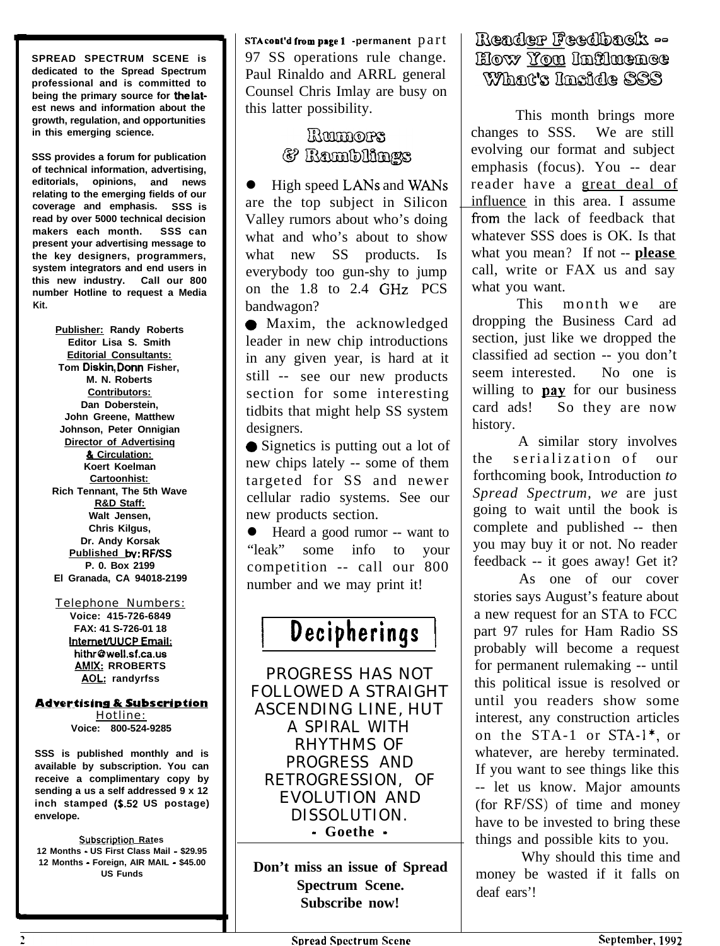**SPREAD SPECTRUM SCENE is dedicated to the Spread Spectrum professional and is committed to being the primary source for the iatest news and information about the growth, regulation, and opportunities in this emerging science.**

**SSS provides a forum for publication of technical information, advertising, editorials, opinions, and news relating to the emerging fields of our coverage and emphasis. SSS is read by over 5000 technical decision makers each month. SSS can present your advertising message to the key designers, programmers, system integrators and end users in this new industry. Call our 800 number Hotline to request a Media Kit.**

> **Publisher: Randy Roberts Editor Lisa S. Smith Editorial Consultants: Tom Diskin, Dorm Fisher, M. N. Roberts Contributors: Dan Doberstein, John Greene, Matthew Johnson, Peter Onnigian Director of Advertisinq 81 Circulation: Koert Koelman Cartoonhist: Rich Tennant, The 5th Wave R&D Staff: Walt Jensen, Chris Kilgus, Dr. Andy Korsak Published bv: RF/SS P. 0. Box 2199 El Granada, CA 94018-2199**

#### Telephone Numbers:

**Voice: 415-726-6849 FAX: 41 S-726-01 18 Internet/UUCP Email: hithrQwell.sf.ca.us AMIX: RROBERTS AOL: randyrfss**

#### **Advertising & Subscription**

Hotline: **Voice: 800-524-9285**

**SSS is published monthly and is available by subscription. You can receive a complimentary copy by sending a us a self addressed 9 x 12 inch stamped (E.52 US postage) envelope.**

**Subscription Rates 12 Months - US First Class Mail - \$29.95 12 Months - Foreign, AIR MAIL - \$45.00 US Funds**

STA **c00t'd fr0m p8ge i -permanent** part 97 SS operations rule change. Paul Rinaldo and ARRL general Counsel Chris Imlay are busy on this latter possibility.

# Rammores & Ramblings

 $\bullet$  High speed LANs and WANs are the top subject in Silicon Valley rumors about who's doing what and who's about to show what new SS products. Is everybody too gun-shy to jump on the 1.8 to 2.4 GHz PCS bandwagon?

• Maxim, the acknowledged leader in new chip introductions in any given year, is hard at it still -- see our new products section for some interesting tidbits that might help SS system designers.

• Signetics is putting out a lot of new chips lately -- some of them targeted for SS and newer cellular radio systems. See our new products section.

• Heard a good rumor -- want to "leak" some info to your competition -- call our 800 number and we may print it!

# **<sup>1</sup> Decipherings** (

PROGRESS HAS NOT FOLLOWED A STRAIGHT ASCENDING LINE, HUT A SPIRAL WITH RHYTHMS OF PROGRESS AND RETROGRESSION, OF EVOLUTION AND DISSOLUTION. - **Goethe -**

**Don't miss an issue of Spread Spectrum Scene. Subscribe now!**

# Reader Feedback --How You Infinence What's Inside SSS

This month brings more changes to SSS. We are still evolving our format and subject emphasis (focus). You -- dear reader have a great deal of influence in this area. I assume from the lack of feedback that whatever SSS does is OK. Is that what you mean? If not -- **please** call, write or FAX us and say what you want.

This month we are dropping the Business Card ad section, just like we dropped the classified ad section -- you don't seem interested. No one is willing to **pay** for our business<br>card ads! So they are now So they are now history.

A similar story involves the serialization of our forthcoming book, Introduction *to Spread Spectrum, we* are just going to wait until the book is complete and published -- then you may buy it or not. No reader feedback -- it goes away! Get it?

As one of our cover stories says August's feature about a new request for an STA to FCC part 97 rules for Ham Radio SS probably will become a request for permanent rulemaking -- until this political issue is resolved or until you readers show some interest, any construction articles on the STA-1 or STA- $1^*$ , or whatever, are hereby terminated. If you want to see things like this -- let us know. Major amounts (for RF/SS) of time and money have to be invested to bring these things and possible kits to you.

Why should this time and money be wasted if it falls on deaf ears'!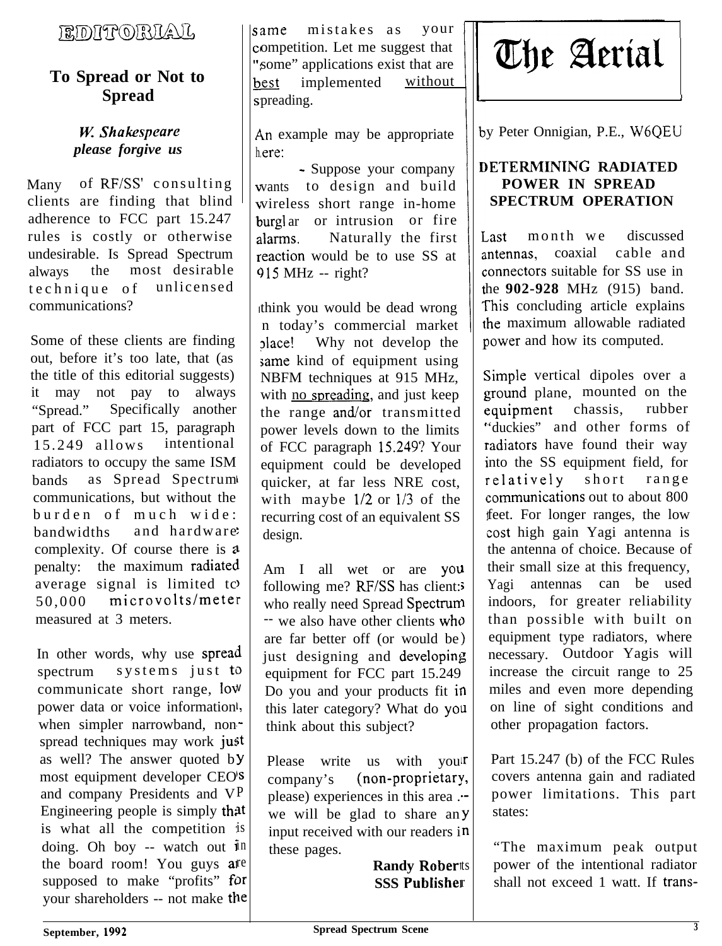# FRIDITTORILAJI,

# **To Spread or Not to Spread**

# *please forgive us*  $\left| \right|$  here:

Many of RF/SS' consulting clients are finding that blind adherence to FCC part 15.247 rules is costly or otherwise undesirable. Is Spread Spectrum always the most desirable technique of unlicensed communications?

Some of these clients are finding out, before it's too late, that (as the title of this editorial suggests) it may not pay to always "Spread." Specifically another part of FCC part 15, paragraph<br>15.249 allows intentional  $15.249$  allows radiators to occupy the same ISM bands as Spread Spectrum I communications, but without the burden of much wide: bandwidths and hardware complexity. Of course there is a penalty: the maximum radiated average signal is limited to 50,000 microvolts/meter measured at 3 meters.

In other words, why use spread spectrum  $systems$  just to communicate short range, low power data or voice information<sup>1</sup>, when simpler narrowband, nonspread techniques may work just as well? The answer quoted by most equipment developer CEO'S and company Presidents and VP Engineering people is simply that is what all the competition is doing. Oh boy -- watch out  $\mathbf{i}$ n the board room! You guys are supposed to make "profits" for your shareholders -- not make the

lsame mistakes as your ompetition. Let me suggest that some" applications exist that are hest implemented without spreading.

*W. Shakespeare*  $\vert \vert$  An example may be appropriate

- Suppose your company vants to design and build vireless short range in-home burgl ar or intrusion or fire alarms. Naturally the first reaction would be to use SS at  $915$  MHz -- right?

I

think you would be dead wrong n today's commercial market Jlace! Why not develop the same kind of equipment using NBFM techniques at 915 MHz, with no spreading, and just keep the range and/or transmitted power levels down to the limits of FCC paragraph 15.249? Your equipment could be developed quicker, at far less NRE cost, with maybe l/2 or l/3 of the recurring cost of an equivalent SS design.

Am I all wet or are you 1 following me? RF/SS has client: who really need Spread Spectrum -- we also have other clients whc are far better off (or would be) just designing and developing equipment for FCC part 15.249 Do you and your products fit in this later category? What do you think about this subject?

Please write us with you!r company's (non-proprietary, please) experiences in this area . we will be glad to share any input received with our readers i these pages.

> **Randy Roberts SSS Publisher**



y Peter Onnigian, P.E., W6QEU

I

#### **)ETERMINTNG RADIATED POWER IN SPREAD SPECTRUM OPERATION**

Last month we discussed<br>antennas, coaxial cable and antennas, coaxial ;onnectors suitable for SS use in he **902-928** MHz (915) band. This concluding article explains the maximum allowable radiated nower and how its computed.

Simple vertical dipoles over a ground plane, mounted on the equipment chassis, rubber 'duckies" and other forms of radiators have found their way nto the SS equipment field, for relatively short range :ommunications out to about 800 feet. For longer ranges, the low cost high gain Yagi antenna is the antenna of choice. Because of their small size at this frequency, Yagi antennas can be used indoors, for greater reliability than possible with built on equipment type radiators, where necessary. Outdoor Yagis will increase the circuit range to 25 miles and even more depending on line of sight conditions and other propagation factors.

Part 15.247 (b) of the FCC Rules covers antenna gain and radiated power limitations. This part states:

"The maximum peak output power of the intentional radiator shall not exceed 1 watt. If trans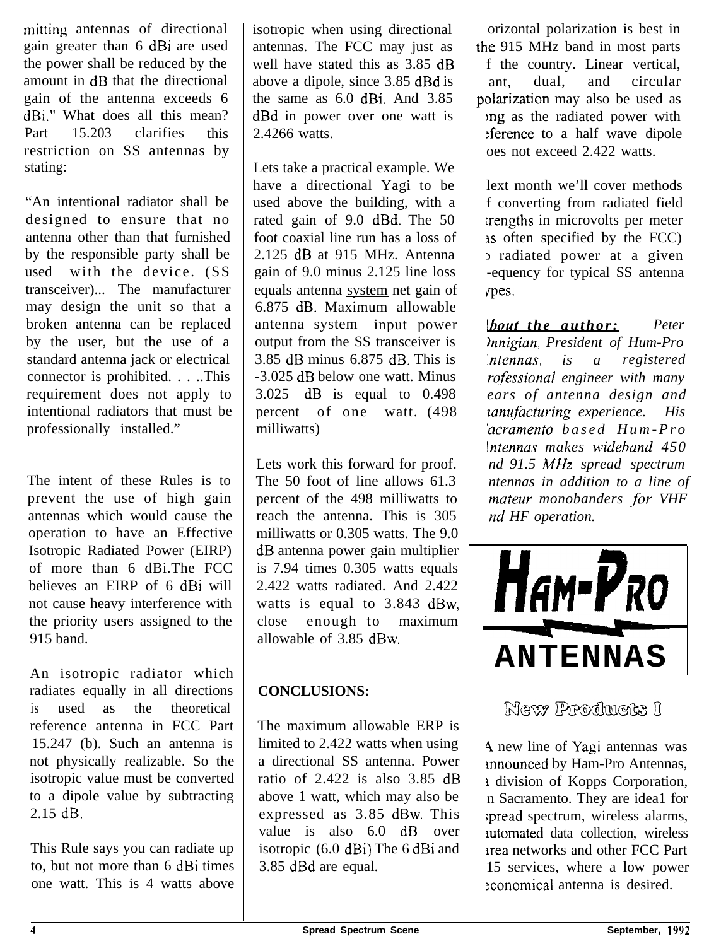mitting antennas of directional gain greater than 6 dBi are used the power shall be reduced by the amount in dB that the directional gain of the antenna exceeds 6 dBi." What does all this mean? Part 15.203 clarifies this restriction on SS antennas by stating:

"An intentional radiator shall be designed to ensure that no antenna other than that furnished by the responsible party shall be used with the device. (SS transceiver)... The manufacturer may design the unit so that a broken antenna can be replaced by the user, but the use of a standard antenna jack or electrical connector is prohibited. . . ..This requirement does not apply to intentional radiators that must be professionally installed."

The intent of these Rules is to prevent the use of high gain antennas which would cause the operation to have an Effective Isotropic Radiated Power (EIRP) of more than 6 dBi.The FCC believes an EIRP of 6 dBi will not cause heavy interference with the priority users assigned to the 915 band.

An isotropic radiator which radiates equally in all directions is used as the theoretical reference antenna in FCC Part 15.247 (b). Such an antenna is not physically realizable. So the isotropic value must be converted to a dipole value by subtracting 2.15 dB.

This Rule says you can radiate up to, but not more than 6 dBi times one watt. This is 4 watts above isotropic when using directional antennas. The FCC may just as well have stated this as 3.85 dB above a dipole, since 3.85 dBd is the same as 6.0 dBi. And 3.85 dBd in power over one watt is 2.4266 watts.

Lets take a practical example. We have a directional Yagi to be used above the building, with a rated gain of 9.0 dBd. The 50 foot coaxial line run has a loss of 2.125 dB at 915 MHz. Antenna gain of 9.0 minus 2.125 line loss equals antenna system net gain of 6.875 dB. Maximum allowable antenna system input power output from the SS transceiver is 3.85 dB minus 6.875 dB. This is -3.025 dB below one watt. Minus 3.025 dB is equal to 0.498 percent of one watt. (498 milliwatts)

Lets work this forward for proof. The 50 foot of line allows 61.3 percent of the 498 milliwatts to reach the antenna. This is 305 milliwatts or 0.305 watts. The 9.0 dB antenna power gain multiplier is 7.94 times 0.305 watts equals 2.422 watts radiated. And 2.422 watts is equal to 3.843 dBw, close enough to maximum allowable of 3.85 dBw.

# **CONCLUSIONS:**

The maximum allowable ERP is limited to 2.422 watts when using a directional SS antenna. Power ratio of 2.422 is also 3.85 dB above 1 watt, which may also be expressed as 3.85 dBw. This value is also 6.0 dB over isotropic (6.0 dBi) The 6 dBi and 3.85 dBd are equal.

orizontal polarization is best in the 915 MHz band in most parts f the country. Linear vertical, ant, dual, and circular polarization may also be used as jng as the radiated power with :ference to a half wave dipole oes not exceed 2.422 watts.

lext month we'll cover methods f converting from radiated field :rengths in microvolts per meter 1s often specified by the FCC) I radiated power at a given -equency for typical SS antenna /pes.

lhout *the author: Peter kvzigian, President of Hum-Pro 'ntennas, is a registered rofessional engineer with many ears of antenna design and zarufacturing experience. His 'acramento based Hum-Pro !ntennus makes wideband 450 nd 91.5 MHz spread spectrum ntennas in addition to a line of mateur monobanders -for VHF ,nd HF operation.*



# New Products I

4 new line of Yagi antennas was mnounced by Ham-Pro Antennas, <sup>1</sup> division of Kopps Corporation, n Sacramento. They are idea1 for ;pread spectrum, wireless alarms, automated data collection, wireless irea networks and other FCC Part 15 services, where a low power :conomical antenna is desired.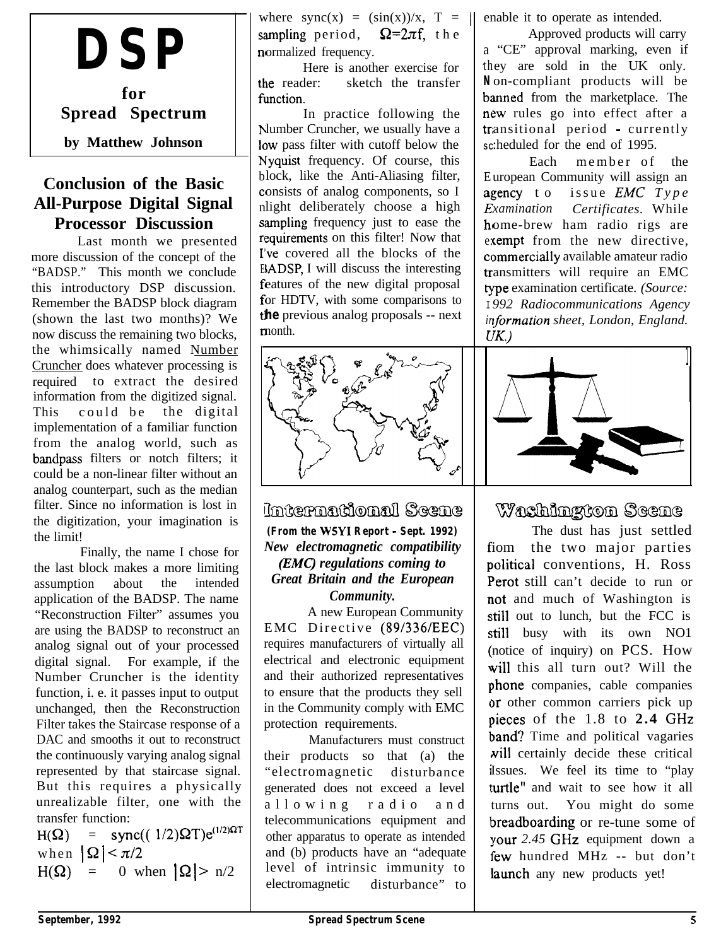# **DSP**

**for Spread Spectrum by Matthew Johnson**

### **Conclusion of the Basic All-Purpose Digital Signal Processor Discussion**

Last month we presented more discussion of the concept of the "BADSP." This month we conclude this introductory DSP discussion. Remember the BADSP block diagram (shown the last two months)? We now discuss the remaining two blocks, the whimsically named Number Cruncher does whatever processing is required to extract the desired information from the digitized signal. This could be the digital implementation of a familiar function from the analog world, such as bandpass filters or notch filters; it could be a non-linear filter without an analog counterpart, such as the median filter. Since no information is lost in the digitization, your imagination is the limit!

Finally, the name I chose for the last block makes a more limiting assumption about the intended application of the BADSP. The name "Reconstruction Filter" assumes you are using the BADSP to reconstruct an analog signal out of your processed digital signal. For example, if the Number Cruncher is the identity function, i. e. it passes input to output unchanged, then the Reconstruction Filter takes the Staircase response of a DAC and smooths it out to reconstruct the continuously varying analog signal represented by that staircase signal. But this requires a physically unrealizable filter, one with the transfer function:

H( $\Omega$ ) = sync(( 1/2) $\Omega T$ )e<sup>(1/2) $\Omega T$ </sup> when  $|\Omega| < \pi/2$  $H(\Omega) = 0$  when  $|\Omega| > n/2$ 

where  $sync(x) = (sin(x))/x$ ,  $T =$ sampling period,  $\Omega = 2\pi f$ , the normalized frequency.

the reader: function. Here is another exercise for sketch the transfer

b lumber Cruncher, we usually have a low pass filter with cutoff below the h Iyquist frequency. Of course, this b lock, like the Anti-Aliasing filter, consists of analog components, so I n light deliberately choose a high sampling frequency just to ease the requirements on this filter! Now that I've covered all the blocks of the E LADSP, I will discuss the interesting features of the new digital proposal f or HDTV, with some comparisons to tl **he** previous analog proposals -- next n nonth. In practice following the



International Scene

**(From the WSYI Report - Sept. 1992)** *New electromagnetic compatibility (EMC) regulations coming to Great Britain and the European Community.*

A new European Community EMC Directive (89/336/EEC) requires manufacturers of virtually all electrical and electronic equipment and their authorized representatives to ensure that the products they sell in the Community comply with EMC protection requirements.

Manufacturers must construct their products so that (a) the "electromagnetic disturbance generated does not exceed a level allowing radio and telecommunications equipment and other apparatus to operate as intended and (b) products have an "adequate level of intrinsic immunity to electromagnetic disturbance" to enable it to operate as intended.

a "CE" approval marking, even if th ey are sold in the UK only. **N** on-compliant products will be banned from the marketplace. The new rules go into effect after a transitional period - currently sc:heduled for the end of 1995. Approved products will carry

E uropean Community will assign an agency to Examination home-brew ham radio rigs are exempt from the new directive, commercially available amateur radio tr ansmitters will require an EMC b 'pe examination certificate. *(Source:* I *992 Radiocommunications Agency ir tformation sheet, London, England. c K)* Each member of the issue *EMC* Type *xamination Certificates.* While



# Washington Scene

The dust has just settled fiom the two major parties political conventions, H. Ross Perot still can't decide to run or not and much of Washington is still out to lunch, but the FCC is still busy with its own NO1 notice of inquiry) on PCS. How will this all turn out? Will the phone companies, cable companies or other common carriers pick up nieces of the 1.8 to **2.4** GHz band? Time and political vagaries will certainly decide these critical Issues. We feel its time to "play turtle" and wait to see how it all turns out. You might do some breadboarding or re-tune some of your 2.45 GHz equipment down a few hundred MHz -- but don't launch any new products yet!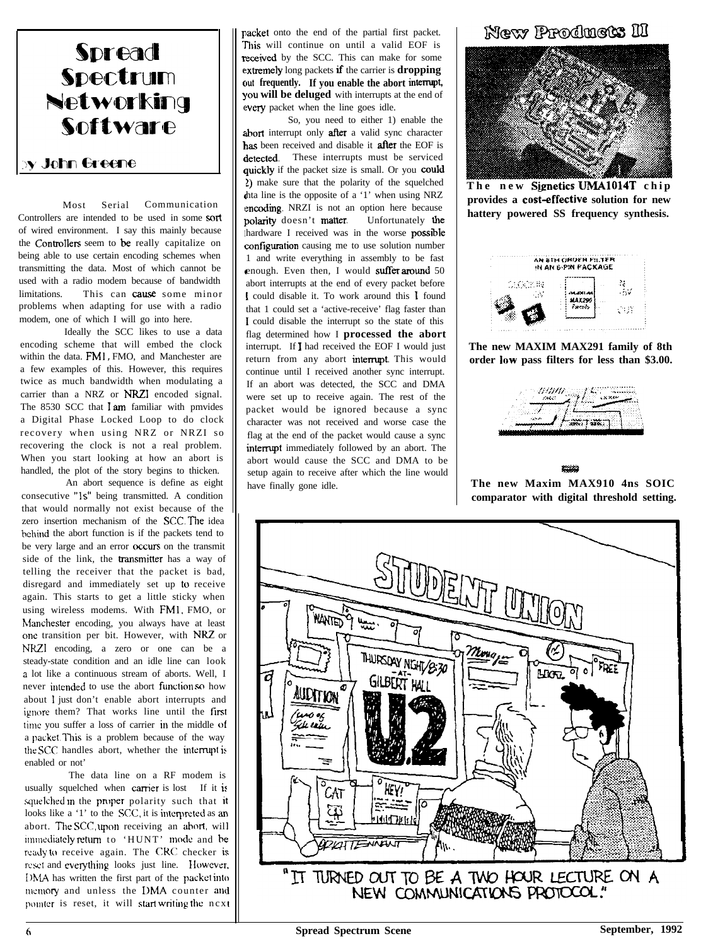

Most Serial Communication Controllers are intended to be used in some sort of wired environment. I say this mainly because the Controllers seem to be really capitalize on being able to use certain encoding schemes when transmitting the data. Most of which cannot be used with a radio modem because of bandwidth limitations. This can cause some minor problems when adapting for use with a radio modem, one of which I will go into here.

Ideally the SCC likes to use a data encoding scheme that will embed the clock within the data. FM1 , FMO, and Manchester are a few examples of this. However, this requires twice as much bandwidth when modulating a carrier than a NRZ or NRZI encoded signal. The 8530 SCC that I am familiar with pmvides a Digital Phase Locked Loop to do clock recovery when using NRZ or NRZI so recovering the clock is not a real problem. When you start looking at how an abort is handled, the plot of the story begins to thicken.

An abort sequence is define as eight consecutive "1s" being transmitted. A condition that would normally not exist because of the zero insertion mechanism of the SCC. The idea behind the abort function is if the packets tend to be very large and an error occurs on the transmit side of the link, the **transmitter** has a way of telling the receiver that the packet is bad, disregard and immediately set up 10 receive again. This starts to get a little sticky when using wireless modems. With FMl, FMO, or Manchester encoding, you always have at least one transition per bit. However, with NRZ or NRZI encoding, a zero or one can be a steady-state condition and an idle line can look a lot like a continuous stream of aborts. Well, I never intended to use the abort fimction so how about I just don't enable abort interrupts and ignore them? That works line until the first time you suffer a loss of carrier in the middle of a packet. This is a problem because of the way the SCC handles abort, whether the interrupt is enabled or not'

The data line on a RF modem is usually squelched when carrier is lost If it is squelched in the proper polarity such that it looks like a '1' to the SCC, it is interpreted as an abort. The SCC, upon receiving an abort, wil inuncdiatcly return to 'HUNT' mode and bc ready to receive again. The CRC checker is reset and everything looks just line. However, I)MA has written the first part of the packet into memory and unless the DMA counter and pointer is reset, it will start writing the ncxt packet onto the end of the partial first packet. This will continue on until a valid EOF is received by the SCC. This can make for some extremely long packets if the carrier is **dropping** <sup>c</sup>**But frequently. If you enable the abort intermpt,** you will be deluged with interrupts at the end of every packet when the line goes idle.

abort interrupt only after a valid sync character has been received and disable it after the EOF is detected. These interrupts must be serviced ' tha line is the opposite of a '1' when using NRZ encoding. NRZI is not an option here because polarity doesn't matter. Unfortunately the hardware I received was in the worse **possible** configuration causing me to use solution number enough. Even then, I would suffer around 50 So, you need to either 1) enable the quickly if the packet size is small. Or you could 2) make sure that the polarity of the squelched 1 and write everything in assembly to be fast abort interrupts at the end of every packet before <sup>1</sup> could disable it. To work around this 1 found that 1 could set a 'active-receive' flag faster than I could disable the interrupt so the state of this flag determined how I **processed the abort** interrupt. If I had received the EOF I would just return from any abort interrupt. This would continue until I received another sync interrupt. If an abort was detected, the SCC and DMA were set up to receive again. The rest of the packet would be ignored because a sync character was not received and worse case the flag at the end of the packet would cause a sync interrupt immediately followed by an abort. The abort would cause the SCC and DMA to be setup again to receive after which the line would have finally gone idle.

#### New Products II



**The new Signetics UMA1014T chip provides a cost-effective solution for new hattery powered SS frequency synthesis.**



**The new MAXIM MAX291 family of 8th order low pass filters for less than \$3.00.**



**The new Maxim MAX910 4ns SOIC comparator with digital threshold setting.**

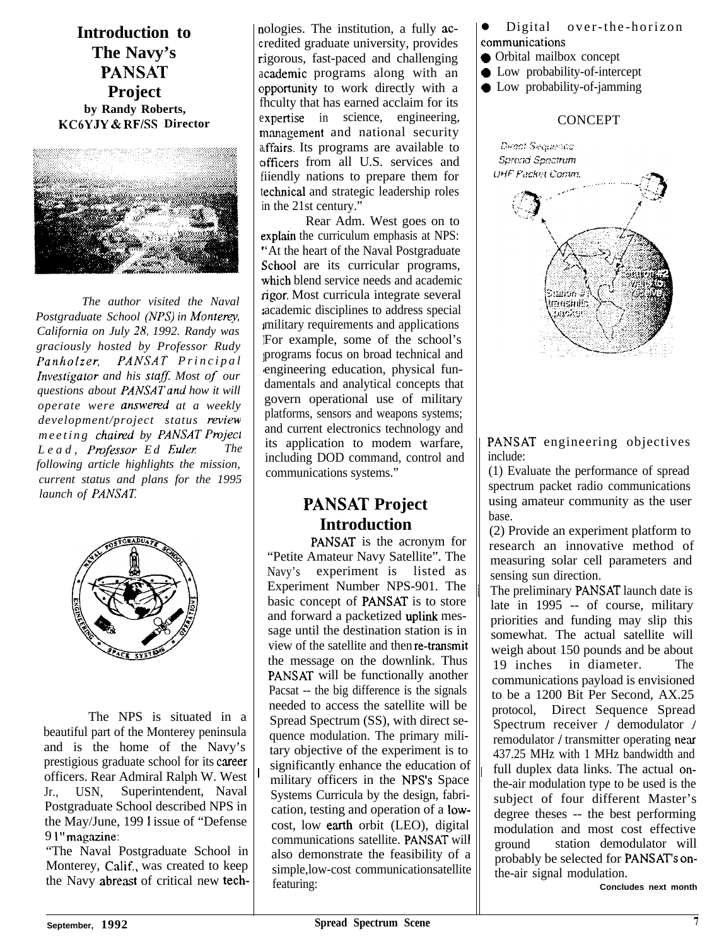**Introduction to The Navy's PANSAT Project by Randy Roberts, KC6YJY & RFlSS Director**



*The author visited the Naval Postgraduate School (NPS) in Monterey, California on July 28, 1992. Randy was graciously hosted by Professor Rudy PanhoIzer, PANSAT Principal Investigator and his staff. Most of our questions about PANSATand how it will operate were answered at a weekly development/project status review meeting chaired by PANSAT Project*<br>Lead Professor Ed Euler The *Lead, Professor Ed Euler. following article highlights the mission, current status and plans for the 1995 launch of PANSAT.*



The NPS is situated in a beautiful part of the Monterey peninsula and is the home of the Navy's prestigious graduate school for its career officers. Rear Admiral Ralph W. West Jr., USN, Superintendent, Naval Postgraduate School described NPS in the May/June, 199 1 issue of "Defense 9 I" magazine:

"The Naval Postgraduate School in Monterey, Calif., was created to keep the Navy abreast of critical new technologies. The institution, a fully ac-**<sup>C</sup>** redited graduate university, provides r:igorous, fast-paced and challenging academic programs along with an opportunity to work directly with a fhculty that has earned acclaim for its expertise in science, engineering, management and national security affairs. Its programs are available to officers from all U.S. services and fiiendly nations to prepare them for technical and strategic leadership roles in the 21st century."

Rear Adm. West goes on to explain the curriculum emphasis at NPS: 'At the heart of the Naval Postgraduate School are its curricular programs, which blend service needs and academic igor. Most curricula integrate several academic disciplines to address special military requirements and applications For example, some of the school's programs focus on broad technical and engineering education, physical fundamentals and analytical concepts that govern operational use of military platforms, sensors and weapons systems; and current electronics technology and its application to modem warfare, including DOD command, control and communications systems."

# **PANSAT Project Introduction**

PANSAT is the acronym for "Petite Amateur Navy Satellite". The Navy's experiment is listed as Experiment Number NPS-901. The basic concept of PANSAT is to store and forward a packetized uplink message until the destination station is in view of the satellite and then re-transmit the message on the downlink. Thus PANSAT will be functionally another Pacsat -- the big difference is the signals needed to access the satellite will be Spread Spectrum (SS), with direct sequence modulation. The primary military objective of the experiment is to significantly enhance the education of military officers in the NPS's Space Systems Curricula by the design, fabrication, testing and operation of a lowcost, low earth orbit (LEO), digital communications satellite. PANSAT will also demonstrate the feasibility of a simple,low-cost communicationsatellite featuring:

Digital over-the-horizon communications

- Orbital mailbox concept
- $\bullet$  Low probability-of-intercept
- Low probability-of-jamming

#### **CONCEPT**



PANSAT engineering objectives include:

(1) Evaluate the performance of spread spectrum packet radio communications using amateur community as the user base.

(2) Provide an experiment platform to research an innovative method of measuring solar cell parameters and sensing sun direction.

<sup>1</sup>

The preliminary PANSAT launch date is late in 1995 -- of course, military priorities and funding may slip this somewhat. The actual satellite will weigh about 150 pounds and be about 19 inches in diameter. The communications payload is envisioned to be a 1200 Bit Per Second, AX.25 protocol, Direct Sequence Spread Spectrum receiver / demodulator / remodulator / transmitter operating near 437.25 MHz with 1 MHz bandwidth and full duplex data links. The actual onthe-air modulation type to be used is the subject of four different Master's degree theses -- the best performing modulation and most cost effective ground station demodulator will probably be selected for PANSAT's onthe-air signal modulation.

**Concludes next month**